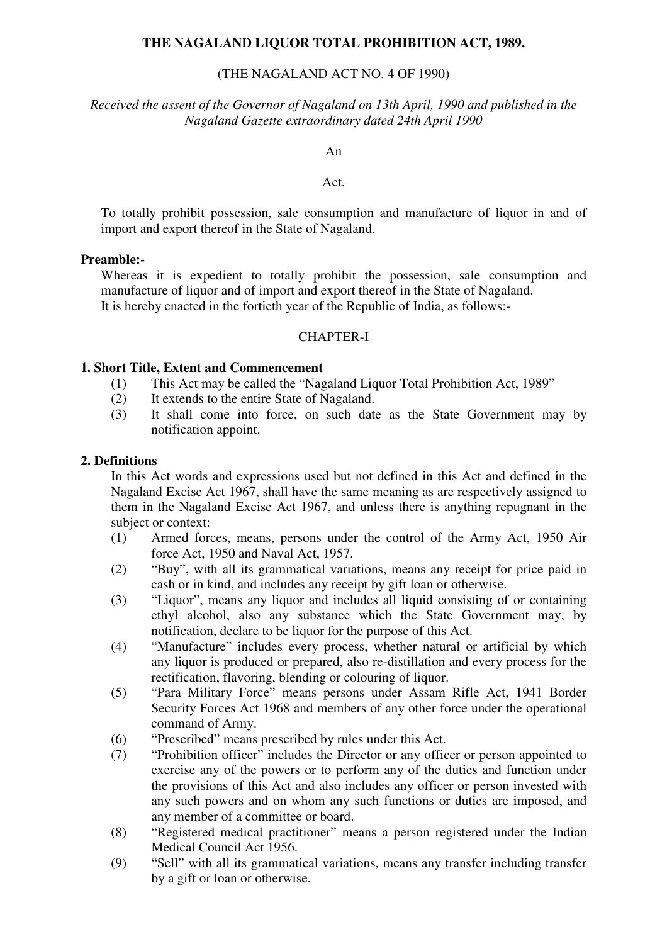#### **THE NAGALAND LIQUOR TOTAL PROHIBITION ACT, 1989.**

### (THE NAGALAND ACT NO. 4 OF 1990)

*Received the assent of the Governor of Nagaland on 13th April, 1990 and published in the Nagaland Gazette extraordinary dated 24th April 1990* 

An

#### Act.

To totally prohibit possession, sale consumption and manufacture of liquor in and of import and export thereof in the State of Nagaland.

#### **Preamble:-**

Whereas it is expedient to totally prohibit the possession, sale consumption and manufacture of liquor and of import and export thereof in the State of Nagaland. It is hereby enacted in the fortieth year of the Republic of India, as follows:-

#### CHAPTER-I

#### **1. Short Title, Extent and Commencement**

- (1) This Act may be called the "Nagaland Liquor Total Prohibition Act, 1989"
- (2) It extends to the entire State of Nagaland.
- (3) It shall come into force, on such date as the State Government may by notification appoint.

#### **2. Definitions**

In this Act words and expressions used but not defined in this Act and defined in the Nagaland Excise Act 1967, shall have the same meaning as are respectively assigned to them in the Nagaland Excise Act 1967, and unless there is anything repugnant in the subject or context:

- (1) Armed forces, means, persons under the control of the Army Act, 1950 Air force Act, 1950 and Naval Act, 1957.
- (2) "Buy", with all its grammatical variations, means any receipt for price paid in cash or in kind, and includes any receipt by gift loan or otherwise.
- (3) "Liquor", means any liquor and includes all liquid consisting of or containing ethyl alcohol, also any substance which the State Government may, by notification, declare to be liquor for the purpose of this Act.
- (4) "Manufacture" includes every process, whether natural or artificial by which any liquor is produced or prepared, also re-distillation and every process for the rectification, flavoring, blending or colouring of liquor.
- (5) "Para Military Force" means persons under Assam Rifle Act, 1941 Border Security Forces Act 1968 and members of any other force under the operational command of Army.
- (6) "Prescribed" means prescribed by rules under this Act.
- (7) "Prohibition officer" includes the Director or any officer or person appointed to exercise any of the powers or to perform any of the duties and function under the provisions of this Act and also includes any officer or person invested with any such powers and on whom any such functions or duties are imposed, and any member of a committee or board.
- (8) "Registered medical practitioner" means a person registered under the Indian Medical Council Act 1956.
- (9) "Sell" with all its grammatical variations, means any transfer including transfer by a gift or loan or otherwise.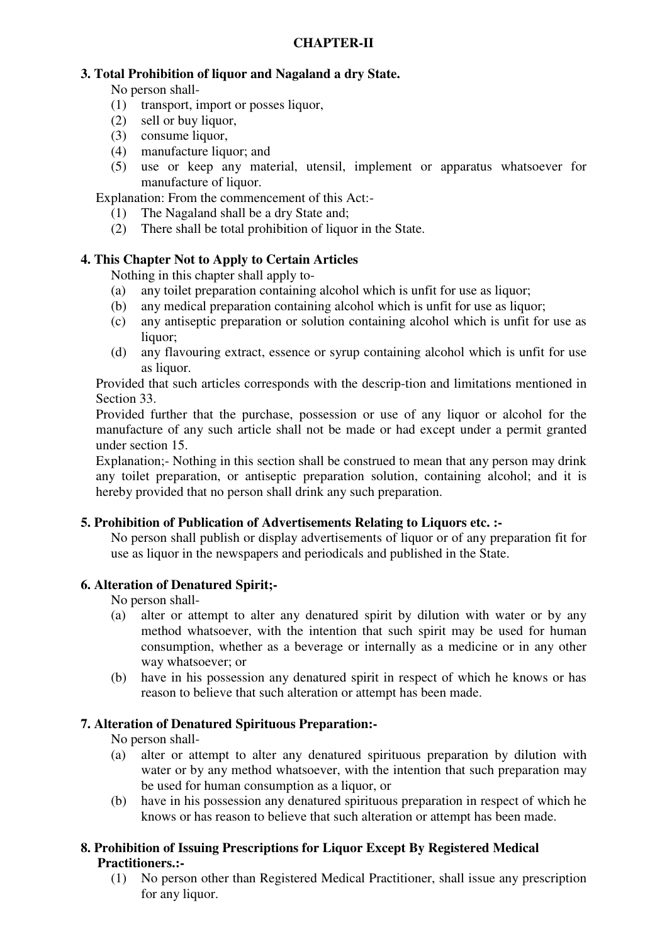# **3. Total Prohibition of liquor and Nagaland a dry State.**

No person shall-

- (1) transport, import or posses liquor,
- (2) sell or buy liquor,
- (3) consume liquor,
- (4) manufacture liquor; and
- (5) use or keep any material, utensil, implement or apparatus whatsoever for manufacture of liquor.

Explanation: From the commencement of this Act:-

- (1) The Nagaland shall be a dry State and;
- (2) There shall be total prohibition of liquor in the State.

# **4. This Chapter Not to Apply to Certain Articles**

Nothing in this chapter shall apply to-

- (a) any toilet preparation containing alcohol which is unfit for use as liquor;
- (b) any medical preparation containing alcohol which is unfit for use as liquor;
- (c) any antiseptic preparation or solution containing alcohol which is unfit for use as liquor;
- (d) any flavouring extract, essence or syrup containing alcohol which is unfit for use as liquor.

Provided that such articles corresponds with the descrip-tion and limitations mentioned in Section 33.

Provided further that the purchase, possession or use of any liquor or alcohol for the manufacture of any such article shall not be made or had except under a permit granted under section 15.

Explanation;- Nothing in this section shall be construed to mean that any person may drink any toilet preparation, or antiseptic preparation solution, containing alcohol; and it is hereby provided that no person shall drink any such preparation.

## **5. Prohibition of Publication of Advertisements Relating to Liquors etc. :-**

No person shall publish or display advertisements of liquor or of any preparation fit for use as liquor in the newspapers and periodicals and published in the State.

## **6. Alteration of Denatured Spirit;-**

No person shall-

- (a) alter or attempt to alter any denatured spirit by dilution with water or by any method whatsoever, with the intention that such spirit may be used for human consumption, whether as a beverage or internally as a medicine or in any other way whatsoever; or
- (b) have in his possession any denatured spirit in respect of which he knows or has reason to believe that such alteration or attempt has been made.

## **7. Alteration of Denatured Spirituous Preparation:-**

No person shall-

- (a) alter or attempt to alter any denatured spirituous preparation by dilution with water or by any method whatsoever, with the intention that such preparation may be used for human consumption as a liquor, or
- (b) have in his possession any denatured spirituous preparation in respect of which he knows or has reason to believe that such alteration or attempt has been made.

# **8. Prohibition of Issuing Prescriptions for Liquor Except By Registered Medical Practitioners.:-**

(1) No person other than Registered Medical Practitioner, shall issue any prescription for any liquor.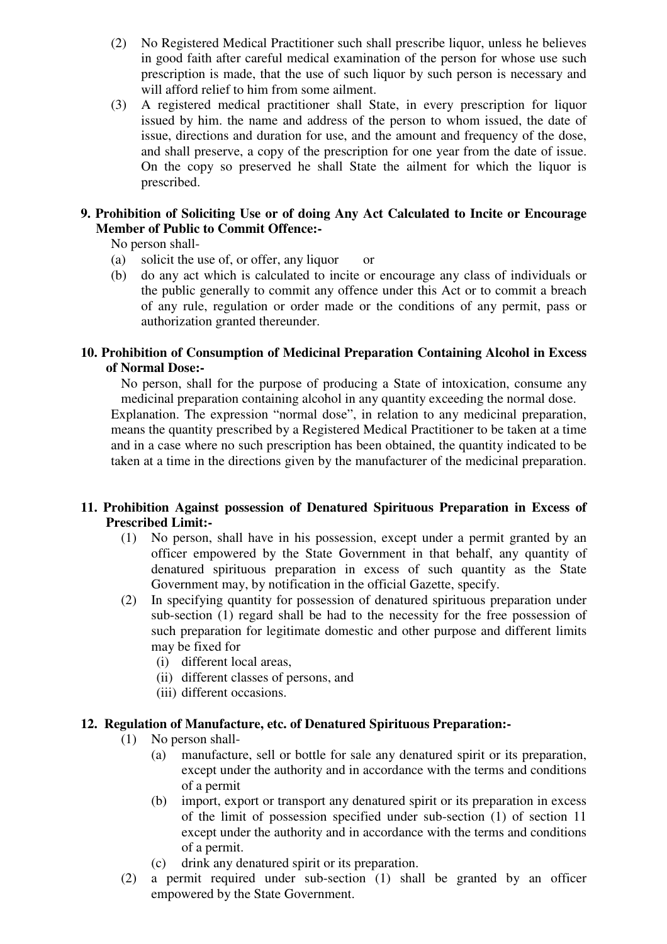- (2) No Registered Medical Practitioner such shall prescribe liquor, unless he believes in good faith after careful medical examination of the person for whose use such prescription is made, that the use of such liquor by such person is necessary and will afford relief to him from some ailment.
- (3) A registered medical practitioner shall State, in every prescription for liquor issued by him. the name and address of the person to whom issued, the date of issue, directions and duration for use, and the amount and frequency of the dose, and shall preserve, a copy of the prescription for one year from the date of issue. On the copy so preserved he shall State the ailment for which the liquor is prescribed.

## **9. Prohibition of Soliciting Use or of doing Any Act Calculated to Incite or Encourage Member of Public to Commit Offence:-**

No person shall-

- (a) solicit the use of, or offer, any liquor or
- (b) do any act which is calculated to incite or encourage any class of individuals or the public generally to commit any offence under this Act or to commit a breach of any rule, regulation or order made or the conditions of any permit, pass or authorization granted thereunder.

### **10. Prohibition of Consumption of Medicinal Preparation Containing Alcohol in Excess of Normal Dose:-**

No person, shall for the purpose of producing a State of intoxication, consume any medicinal preparation containing alcohol in any quantity exceeding the normal dose.

Explanation. The expression "normal dose", in relation to any medicinal preparation, means the quantity prescribed by a Registered Medical Practitioner to be taken at a time and in a case where no such prescription has been obtained, the quantity indicated to be taken at a time in the directions given by the manufacturer of the medicinal preparation.

## **11. Prohibition Against possession of Denatured Spirituous Preparation in Excess of Prescribed Limit:-**

- (1) No person, shall have in his possession, except under a permit granted by an officer empowered by the State Government in that behalf, any quantity of denatured spirituous preparation in excess of such quantity as the State Government may, by notification in the official Gazette, specify.
- (2) In specifying quantity for possession of denatured spirituous preparation under sub-section (1) regard shall be had to the necessity for the free possession of such preparation for legitimate domestic and other purpose and different limits may be fixed for
	- (i) different local areas,
	- (ii) different classes of persons, and
	- (iii) different occasions.

## **12. Regulation of Manufacture, etc. of Denatured Spirituous Preparation:-**

- (1) No person shall-
	- (a) manufacture, sell or bottle for sale any denatured spirit or its preparation, except under the authority and in accordance with the terms and conditions of a permit
	- (b) import, export or transport any denatured spirit or its preparation in excess of the limit of possession specified under sub-section (1) of section 11 except under the authority and in accordance with the terms and conditions of a permit.
	- (c) drink any denatured spirit or its preparation.
- (2) a permit required under sub-section (1) shall be granted by an officer empowered by the State Government.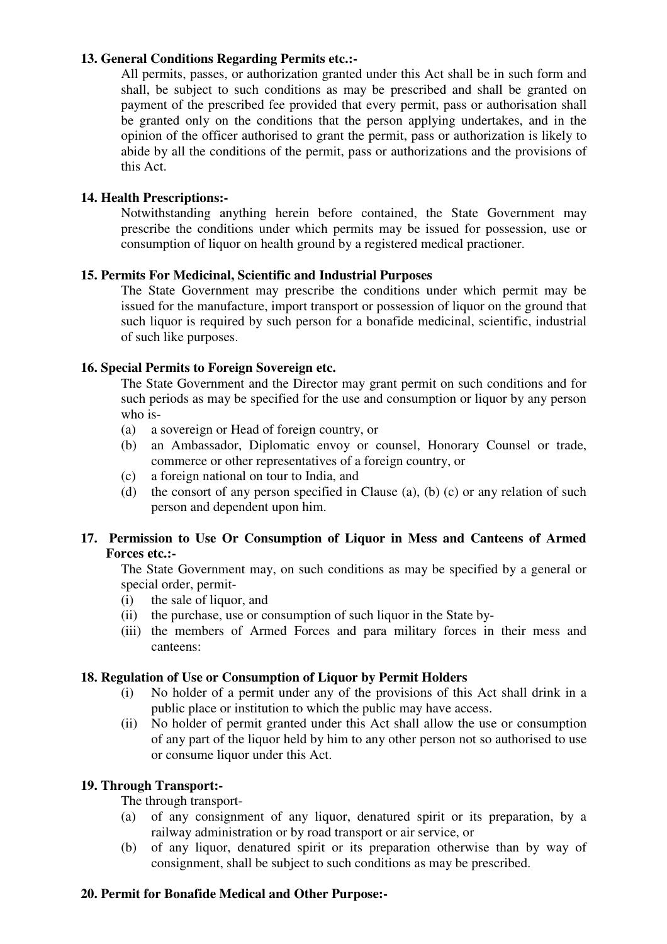### **13. General Conditions Regarding Permits etc.:-**

All permits, passes, or authorization granted under this Act shall be in such form and shall, be subject to such conditions as may be prescribed and shall be granted on payment of the prescribed fee provided that every permit, pass or authorisation shall be granted only on the conditions that the person applying undertakes, and in the opinion of the officer authorised to grant the permit, pass or authorization is likely to abide by all the conditions of the permit, pass or authorizations and the provisions of this Act.

### **14. Health Prescriptions:-**

Notwithstanding anything herein before contained, the State Government may prescribe the conditions under which permits may be issued for possession, use or consumption of liquor on health ground by a registered medical practioner.

### **15. Permits For Medicinal, Scientific and Industrial Purposes**

The State Government may prescribe the conditions under which permit may be issued for the manufacture, import transport or possession of liquor on the ground that such liquor is required by such person for a bonafide medicinal, scientific, industrial of such like purposes.

### **16. Special Permits to Foreign Sovereign etc.**

The State Government and the Director may grant permit on such conditions and for such periods as may be specified for the use and consumption or liquor by any person who is-

- (a) a sovereign or Head of foreign country, or
- (b) an Ambassador, Diplomatic envoy or counsel, Honorary Counsel or trade, commerce or other representatives of a foreign country, or
- (c) a foreign national on tour to India, and
- (d) the consort of any person specified in Clause (a), (b) (c) or any relation of such person and dependent upon him.

### **17. Permission to Use Or Consumption of Liquor in Mess and Canteens of Armed Forces etc.:-**

The State Government may, on such conditions as may be specified by a general or special order, permit-

- (i) the sale of liquor, and
- (ii) the purchase, use or consumption of such liquor in the State by-
- (iii) the members of Armed Forces and para military forces in their mess and canteens:

### **18. Regulation of Use or Consumption of Liquor by Permit Holders**

- (i) No holder of a permit under any of the provisions of this Act shall drink in a public place or institution to which the public may have access.
- (ii) No holder of permit granted under this Act shall allow the use or consumption of any part of the liquor held by him to any other person not so authorised to use or consume liquor under this Act.

### **19. Through Transport:-**

### The through transport-

- (a) of any consignment of any liquor, denatured spirit or its preparation, by a railway administration or by road transport or air service, or
- (b) of any liquor, denatured spirit or its preparation otherwise than by way of consignment, shall be subject to such conditions as may be prescribed.

### **20. Permit for Bonafide Medical and Other Purpose:-**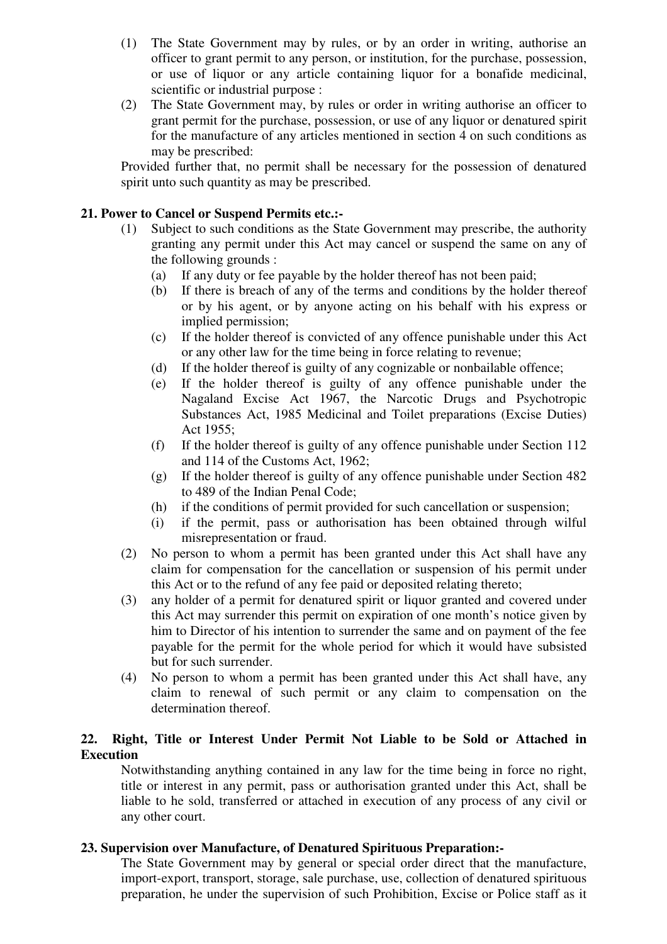- (1) The State Government may by rules, or by an order in writing, authorise an officer to grant permit to any person, or institution, for the purchase, possession, or use of liquor or any article containing liquor for a bonafide medicinal, scientific or industrial purpose :
- (2) The State Government may, by rules or order in writing authorise an officer to grant permit for the purchase, possession, or use of any liquor or denatured spirit for the manufacture of any articles mentioned in section 4 on such conditions as may be prescribed:

Provided further that, no permit shall be necessary for the possession of denatured spirit unto such quantity as may be prescribed.

### **21. Power to Cancel or Suspend Permits etc.:-**

- (1) Subject to such conditions as the State Government may prescribe, the authority granting any permit under this Act may cancel or suspend the same on any of the following grounds :
	- (a) If any duty or fee payable by the holder thereof has not been paid;
	- (b) If there is breach of any of the terms and conditions by the holder thereof or by his agent, or by anyone acting on his behalf with his express or implied permission;
	- (c) If the holder thereof is convicted of any offence punishable under this Act or any other law for the time being in force relating to revenue;
	- (d) If the holder thereof is guilty of any cognizable or nonbailable offence;
	- (e) If the holder thereof is guilty of any offence punishable under the Nagaland Excise Act 1967, the Narcotic Drugs and Psychotropic Substances Act, 1985 Medicinal and Toilet preparations (Excise Duties) Act 1955;
	- (f) If the holder thereof is guilty of any offence punishable under Section 112 and 114 of the Customs Act, 1962;
	- (g) If the holder thereof is guilty of any offence punishable under Section 482 to 489 of the Indian Penal Code;
	- (h) if the conditions of permit provided for such cancellation or suspension;
	- (i) if the permit, pass or authorisation has been obtained through wilful misrepresentation or fraud.
- (2) No person to whom a permit has been granted under this Act shall have any claim for compensation for the cancellation or suspension of his permit under this Act or to the refund of any fee paid or deposited relating thereto;
- (3) any holder of a permit for denatured spirit or liquor granted and covered under this Act may surrender this permit on expiration of one month's notice given by him to Director of his intention to surrender the same and on payment of the fee payable for the permit for the whole period for which it would have subsisted but for such surrender.
- (4) No person to whom a permit has been granted under this Act shall have, any claim to renewal of such permit or any claim to compensation on the determination thereof.

### **22. Right, Title or Interest Under Permit Not Liable to be Sold or Attached in Execution**

Notwithstanding anything contained in any law for the time being in force no right, title or interest in any permit, pass or authorisation granted under this Act, shall be liable to he sold, transferred or attached in execution of any process of any civil or any other court.

## **23. Supervision over Manufacture, of Denatured Spirituous Preparation:-**

The State Government may by general or special order direct that the manufacture, import-export, transport, storage, sale purchase, use, collection of denatured spirituous preparation, he under the supervision of such Prohibition, Excise or Police staff as it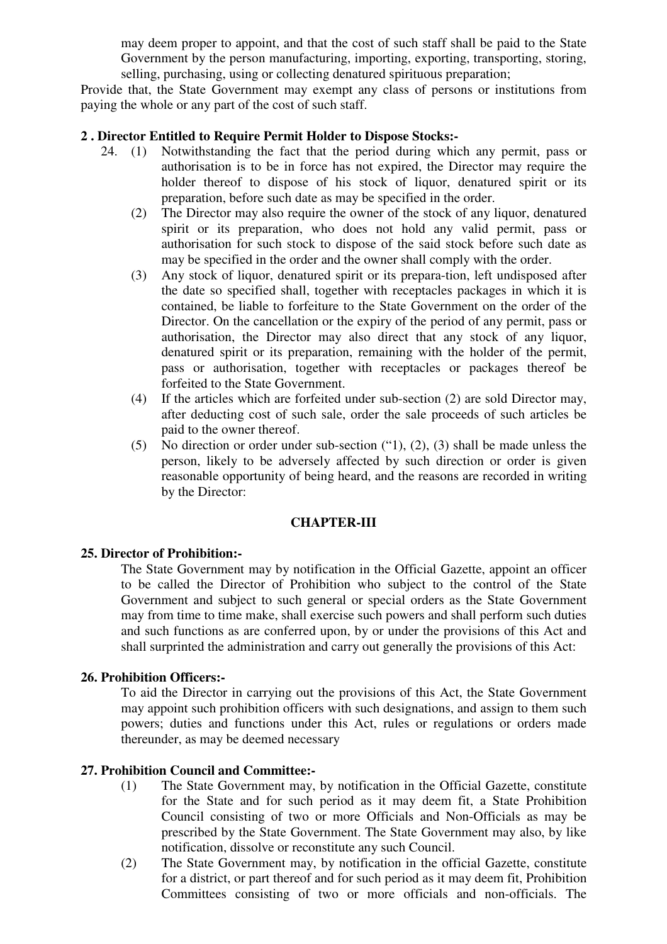may deem proper to appoint, and that the cost of such staff shall be paid to the State Government by the person manufacturing, importing, exporting, transporting, storing, selling, purchasing, using or collecting denatured spirituous preparation;

Provide that, the State Government may exempt any class of persons or institutions from paying the whole or any part of the cost of such staff.

### **2 . Director Entitled to Require Permit Holder to Dispose Stocks:-**

- 24. (1) Notwithstanding the fact that the period during which any permit, pass or authorisation is to be in force has not expired, the Director may require the holder thereof to dispose of his stock of liquor, denatured spirit or its preparation, before such date as may be specified in the order.
	- (2) The Director may also require the owner of the stock of any liquor, denatured spirit or its preparation, who does not hold any valid permit, pass or authorisation for such stock to dispose of the said stock before such date as may be specified in the order and the owner shall comply with the order.
	- (3) Any stock of liquor, denatured spirit or its prepara-tion, left undisposed after the date so specified shall, together with receptacles packages in which it is contained, be liable to forfeiture to the State Government on the order of the Director. On the cancellation or the expiry of the period of any permit, pass or authorisation, the Director may also direct that any stock of any liquor, denatured spirit or its preparation, remaining with the holder of the permit, pass or authorisation, together with receptacles or packages thereof be forfeited to the State Government.
	- (4) If the articles which are forfeited under sub-section (2) are sold Director may, after deducting cost of such sale, order the sale proceeds of such articles be paid to the owner thereof.
	- (5) No direction or order under sub-section ("1), (2), (3) shall be made unless the person, likely to be adversely affected by such direction or order is given reasonable opportunity of being heard, and the reasons are recorded in writing by the Director:

### **CHAPTER-III**

#### **25. Director of Prohibition:-**

The State Government may by notification in the Official Gazette, appoint an officer to be called the Director of Prohibition who subject to the control of the State Government and subject to such general or special orders as the State Government may from time to time make, shall exercise such powers and shall perform such duties and such functions as are conferred upon, by or under the provisions of this Act and shall surprinted the administration and carry out generally the provisions of this Act:

### **26. Prohibition Officers:-**

To aid the Director in carrying out the provisions of this Act, the State Government may appoint such prohibition officers with such designations, and assign to them such powers; duties and functions under this Act, rules or regulations or orders made thereunder, as may be deemed necessary

### **27. Prohibition Council and Committee:-**

- (1) The State Government may, by notification in the Official Gazette, constitute for the State and for such period as it may deem fit, a State Prohibition Council consisting of two or more Officials and Non-Officials as may be prescribed by the State Government. The State Government may also, by like notification, dissolve or reconstitute any such Council.
- (2) The State Government may, by notification in the official Gazette, constitute for a district, or part thereof and for such period as it may deem fit, Prohibition Committees consisting of two or more officials and non-officials. The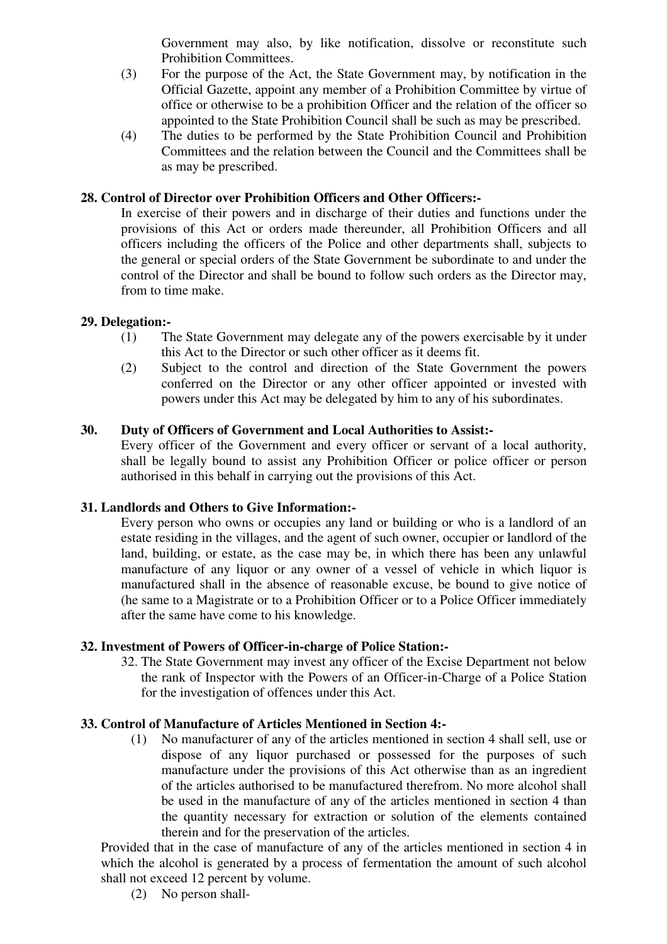Government may also, by like notification, dissolve or reconstitute such Prohibition Committees.

- (3) For the purpose of the Act, the State Government may, by notification in the Official Gazette, appoint any member of a Prohibition Committee by virtue of office or otherwise to be a prohibition Officer and the relation of the officer so appointed to the State Prohibition Council shall be such as may be prescribed.
- (4) The duties to be performed by the State Prohibition Council and Prohibition Committees and the relation between the Council and the Committees shall be as may be prescribed.

### **28. Control of Director over Prohibition Officers and Other Officers:-**

In exercise of their powers and in discharge of their duties and functions under the provisions of this Act or orders made thereunder, all Prohibition Officers and all officers including the officers of the Police and other departments shall, subjects to the general or special orders of the State Government be subordinate to and under the control of the Director and shall be bound to follow such orders as the Director may, from to time make.

### **29. Delegation:-**

- (1) The State Government may delegate any of the powers exercisable by it under this Act to the Director or such other officer as it deems fit.
- (2) Subject to the control and direction of the State Government the powers conferred on the Director or any other officer appointed or invested with powers under this Act may be delegated by him to any of his subordinates.

### **30. Duty of Officers of Government and Local Authorities to Assist:-**

Every officer of the Government and every officer or servant of a local authority, shall be legally bound to assist any Prohibition Officer or police officer or person authorised in this behalf in carrying out the provisions of this Act.

### **31. Landlords and Others to Give Information:-**

Every person who owns or occupies any land or building or who is a landlord of an estate residing in the villages, and the agent of such owner, occupier or landlord of the land, building, or estate, as the case may be, in which there has been any unlawful manufacture of any liquor or any owner of a vessel of vehicle in which liquor is manufactured shall in the absence of reasonable excuse, be bound to give notice of (he same to a Magistrate or to a Prohibition Officer or to a Police Officer immediately after the same have come to his knowledge.

### **32. Investment of Powers of Officer-in-charge of Police Station:-**

32. The State Government may invest any officer of the Excise Department not below the rank of Inspector with the Powers of an Officer-in-Charge of a Police Station for the investigation of offences under this Act.

### **33. Control of Manufacture of Articles Mentioned in Section 4:-**

(1) No manufacturer of any of the articles mentioned in section 4 shall sell, use or dispose of any liquor purchased or possessed for the purposes of such manufacture under the provisions of this Act otherwise than as an ingredient of the articles authorised to be manufactured therefrom. No more alcohol shall be used in the manufacture of any of the articles mentioned in section 4 than the quantity necessary for extraction or solution of the elements contained therein and for the preservation of the articles.

Provided that in the case of manufacture of any of the articles mentioned in section 4 in which the alcohol is generated by a process of fermentation the amount of such alcohol shall not exceed 12 percent by volume.

(2) No person shall-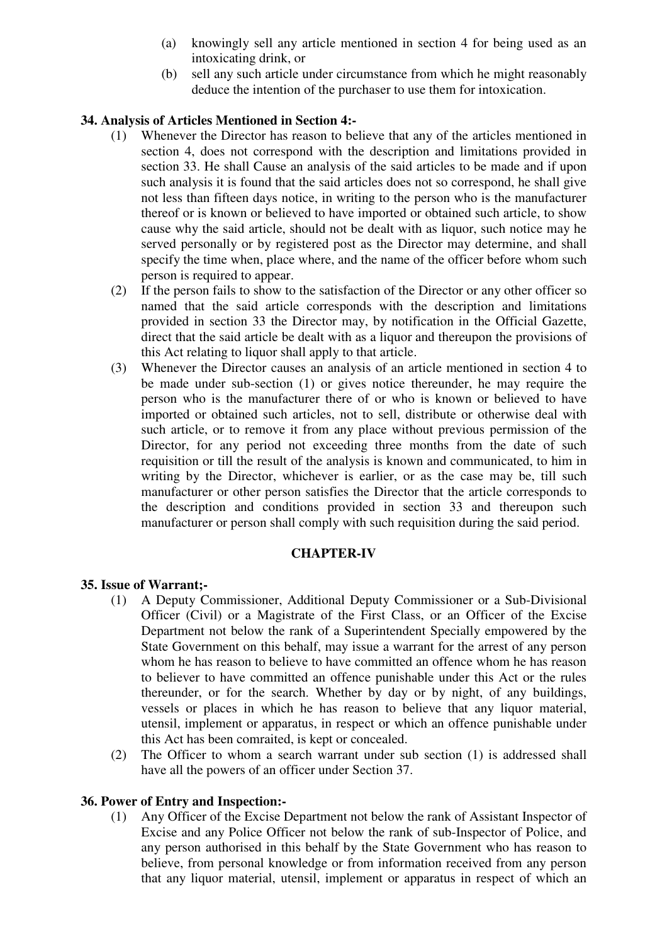- (a) knowingly sell any article mentioned in section 4 for being used as an intoxicating drink, or
- (b) sell any such article under circumstance from which he might reasonably deduce the intention of the purchaser to use them for intoxication.

### **34. Analysis of Articles Mentioned in Section 4:-**

- (1) Whenever the Director has reason to believe that any of the articles mentioned in section 4, does not correspond with the description and limitations provided in section 33. He shall Cause an analysis of the said articles to be made and if upon such analysis it is found that the said articles does not so correspond, he shall give not less than fifteen days notice, in writing to the person who is the manufacturer thereof or is known or believed to have imported or obtained such article, to show cause why the said article, should not be dealt with as liquor, such notice may he served personally or by registered post as the Director may determine, and shall specify the time when, place where, and the name of the officer before whom such person is required to appear.
- (2) If the person fails to show to the satisfaction of the Director or any other officer so named that the said article corresponds with the description and limitations provided in section 33 the Director may, by notification in the Official Gazette, direct that the said article be dealt with as a liquor and thereupon the provisions of this Act relating to liquor shall apply to that article.
- (3) Whenever the Director causes an analysis of an article mentioned in section 4 to be made under sub-section (1) or gives notice thereunder, he may require the person who is the manufacturer there of or who is known or believed to have imported or obtained such articles, not to sell, distribute or otherwise deal with such article, or to remove it from any place without previous permission of the Director, for any period not exceeding three months from the date of such requisition or till the result of the analysis is known and communicated, to him in writing by the Director, whichever is earlier, or as the case may be, till such manufacturer or other person satisfies the Director that the article corresponds to the description and conditions provided in section 33 and thereupon such manufacturer or person shall comply with such requisition during the said period.

### **CHAPTER-IV**

### **35. Issue of Warrant;-**

- (1) A Deputy Commissioner, Additional Deputy Commissioner or a Sub-Divisional Officer (Civil) or a Magistrate of the First Class, or an Officer of the Excise Department not below the rank of a Superintendent Specially empowered by the State Government on this behalf, may issue a warrant for the arrest of any person whom he has reason to believe to have committed an offence whom he has reason to believer to have committed an offence punishable under this Act or the rules thereunder, or for the search. Whether by day or by night, of any buildings, vessels or places in which he has reason to believe that any liquor material, utensil, implement or apparatus, in respect or which an offence punishable under this Act has been comraited, is kept or concealed.
- (2) The Officer to whom a search warrant under sub section (1) is addressed shall have all the powers of an officer under Section 37.

### **36. Power of Entry and Inspection:-**

(1) Any Officer of the Excise Department not below the rank of Assistant Inspector of Excise and any Police Officer not below the rank of sub-Inspector of Police, and any person authorised in this behalf by the State Government who has reason to believe, from personal knowledge or from information received from any person that any liquor material, utensil, implement or apparatus in respect of which an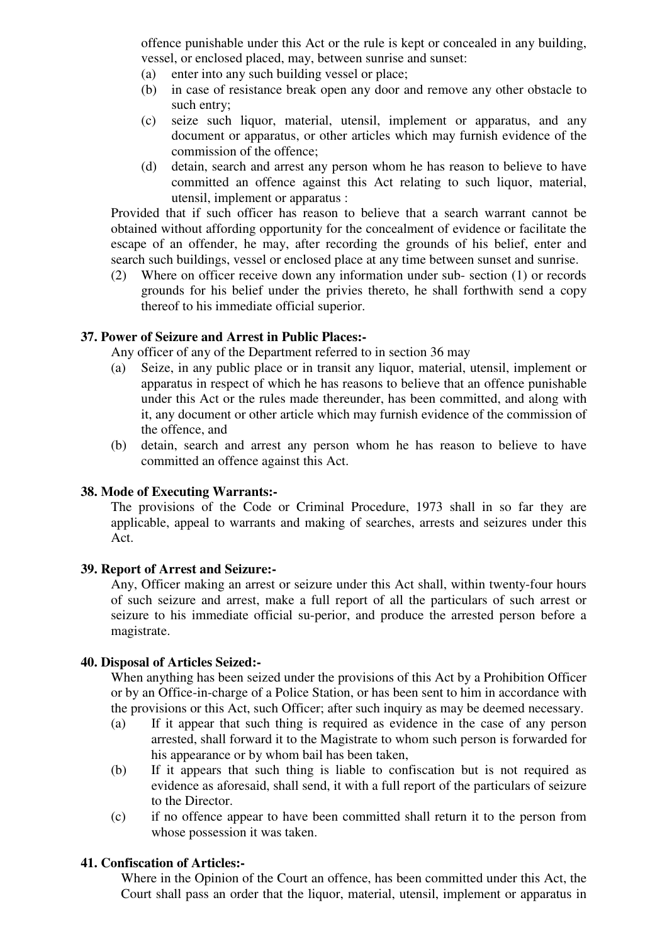offence punishable under this Act or the rule is kept or concealed in any building, vessel, or enclosed placed, may, between sunrise and sunset:

- (a) enter into any such building vessel or place;
- (b) in case of resistance break open any door and remove any other obstacle to such entry;
- (c) seize such liquor, material, utensil, implement or apparatus, and any document or apparatus, or other articles which may furnish evidence of the commission of the offence;
- (d) detain, search and arrest any person whom he has reason to believe to have committed an offence against this Act relating to such liquor, material, utensil, implement or apparatus :

Provided that if such officer has reason to believe that a search warrant cannot be obtained without affording opportunity for the concealment of evidence or facilitate the escape of an offender, he may, after recording the grounds of his belief, enter and search such buildings, vessel or enclosed place at any time between sunset and sunrise.

(2) Where on officer receive down any information under sub- section (1) or records grounds for his belief under the privies thereto, he shall forthwith send a copy thereof to his immediate official superior.

### **37. Power of Seizure and Arrest in Public Places:-**

Any officer of any of the Department referred to in section 36 may

- (a) Seize, in any public place or in transit any liquor, material, utensil, implement or apparatus in respect of which he has reasons to believe that an offence punishable under this Act or the rules made thereunder, has been committed, and along with it, any document or other article which may furnish evidence of the commission of the offence, and
- (b) detain, search and arrest any person whom he has reason to believe to have committed an offence against this Act.

### **38. Mode of Executing Warrants:-**

The provisions of the Code or Criminal Procedure, 1973 shall in so far they are applicable, appeal to warrants and making of searches, arrests and seizures under this Act.

#### **39. Report of Arrest and Seizure:-**

Any, Officer making an arrest or seizure under this Act shall, within twenty-four hours of such seizure and arrest, make a full report of all the particulars of such arrest or seizure to his immediate official su-perior, and produce the arrested person before a magistrate.

#### **40. Disposal of Articles Seized:-**

When anything has been seized under the provisions of this Act by a Prohibition Officer or by an Office-in-charge of a Police Station, or has been sent to him in accordance with the provisions or this Act, such Officer; after such inquiry as may be deemed necessary.

- (a) If it appear that such thing is required as evidence in the case of any person arrested, shall forward it to the Magistrate to whom such person is forwarded for his appearance or by whom bail has been taken,
- (b) If it appears that such thing is liable to confiscation but is not required as evidence as aforesaid, shall send, it with a full report of the particulars of seizure to the Director.
- (c) if no offence appear to have been committed shall return it to the person from whose possession it was taken.

### **41. Confiscation of Articles:-**

Where in the Opinion of the Court an offence, has been committed under this Act, the Court shall pass an order that the liquor, material, utensil, implement or apparatus in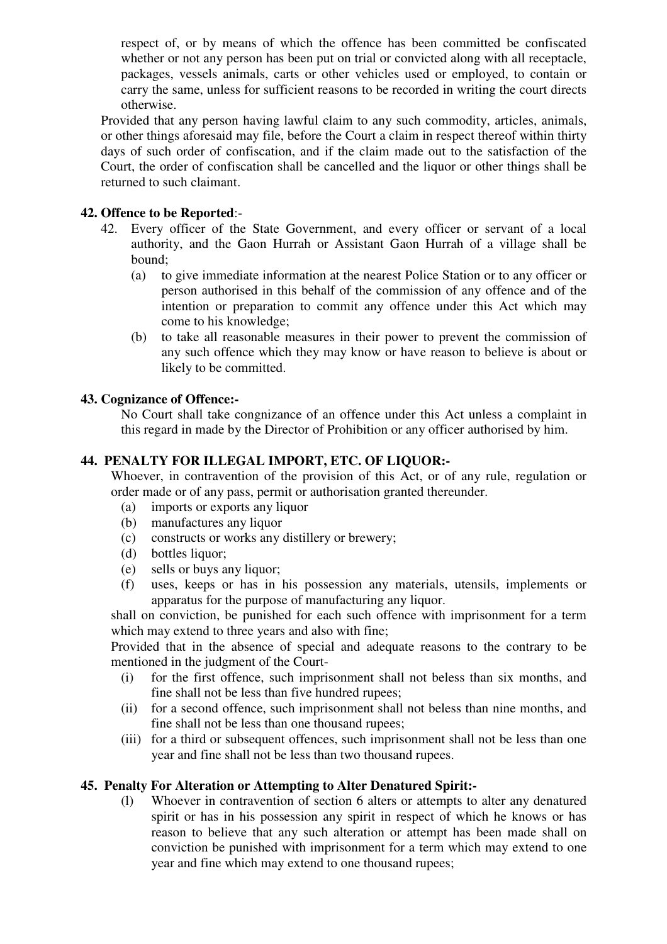respect of, or by means of which the offence has been committed be confiscated whether or not any person has been put on trial or convicted along with all receptacle, packages, vessels animals, carts or other vehicles used or employed, to contain or carry the same, unless for sufficient reasons to be recorded in writing the court directs otherwise.

Provided that any person having lawful claim to any such commodity, articles, animals, or other things aforesaid may file, before the Court a claim in respect thereof within thirty days of such order of confiscation, and if the claim made out to the satisfaction of the Court, the order of confiscation shall be cancelled and the liquor or other things shall be returned to such claimant.

## **42. Offence to be Reported**:-

- 42. Every officer of the State Government, and every officer or servant of a local authority, and the Gaon Hurrah or Assistant Gaon Hurrah of a village shall be bound;
	- (a) to give immediate information at the nearest Police Station or to any officer or person authorised in this behalf of the commission of any offence and of the intention or preparation to commit any offence under this Act which may come to his knowledge;
	- (b) to take all reasonable measures in their power to prevent the commission of any such offence which they may know or have reason to believe is about or likely to be committed.

## **43. Cognizance of Offence:-**

No Court shall take congnizance of an offence under this Act unless a complaint in this regard in made by the Director of Prohibition or any officer authorised by him.

### **44. PENALTY FOR ILLEGAL IMPORT, ETC. OF LIQUOR:-**

Whoever, in contravention of the provision of this Act, or of any rule, regulation or order made or of any pass, permit or authorisation granted thereunder.

- (a) imports or exports any liquor
- (b) manufactures any liquor
- (c) constructs or works any distillery or brewery;
- (d) bottles liquor;
- (e) sells or buys any liquor;
- (f) uses, keeps or has in his possession any materials, utensils, implements or apparatus for the purpose of manufacturing any liquor.

shall on conviction, be punished for each such offence with imprisonment for a term which may extend to three years and also with fine;

Provided that in the absence of special and adequate reasons to the contrary to be mentioned in the judgment of the Court-

- (i) for the first offence, such imprisonment shall not beless than six months, and fine shall not be less than five hundred rupees;
- (ii) for a second offence, such imprisonment shall not beless than nine months, and fine shall not be less than one thousand rupees;
- (iii) for a third or subsequent offences, such imprisonment shall not be less than one year and fine shall not be less than two thousand rupees.

## **45. Penalty For Alteration or Attempting to Alter Denatured Spirit:-**

(l) Whoever in contravention of section 6 alters or attempts to alter any denatured spirit or has in his possession any spirit in respect of which he knows or has reason to believe that any such alteration or attempt has been made shall on conviction be punished with imprisonment for a term which may extend to one year and fine which may extend to one thousand rupees;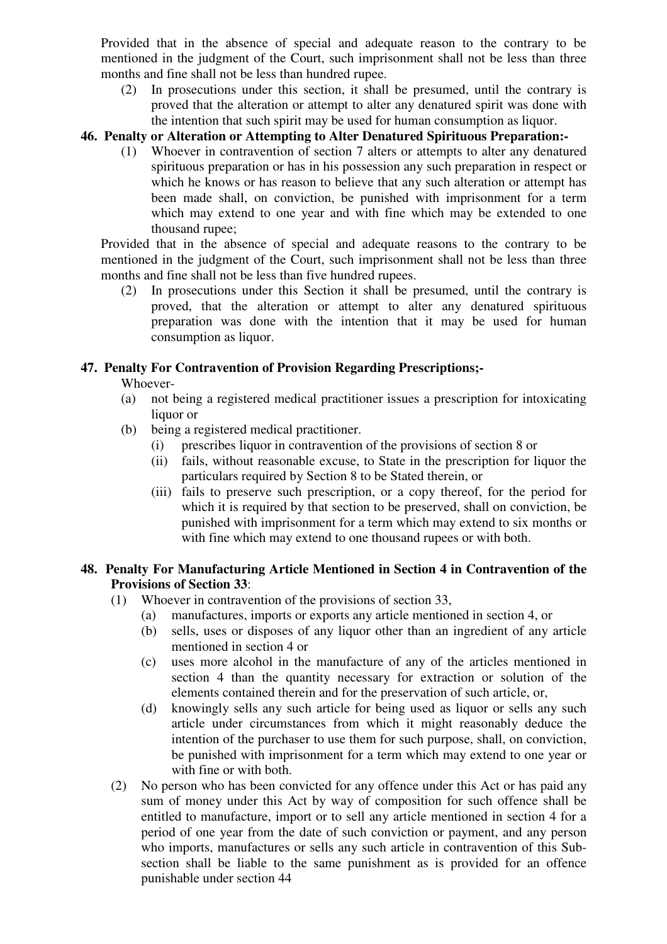Provided that in the absence of special and adequate reason to the contrary to be mentioned in the judgment of the Court, such imprisonment shall not be less than three months and fine shall not be less than hundred rupee.

(2) In prosecutions under this section, it shall be presumed, until the contrary is proved that the alteration or attempt to alter any denatured spirit was done with the intention that such spirit may be used for human consumption as liquor.

### **46. Penalty or Alteration or Attempting to Alter Denatured Spirituous Preparation:-**

(1) Whoever in contravention of section 7 alters or attempts to alter any denatured spirituous preparation or has in his possession any such preparation in respect or which he knows or has reason to believe that any such alteration or attempt has been made shall, on conviction, be punished with imprisonment for a term which may extend to one year and with fine which may be extended to one thousand rupee;

Provided that in the absence of special and adequate reasons to the contrary to be mentioned in the judgment of the Court, such imprisonment shall not be less than three months and fine shall not be less than five hundred rupees.

(2) In prosecutions under this Section it shall be presumed, until the contrary is proved, that the alteration or attempt to alter any denatured spirituous preparation was done with the intention that it may be used for human consumption as liquor.

## **47. Penalty For Contravention of Provision Regarding Prescriptions;-**

Whoever-

- (a) not being a registered medical practitioner issues a prescription for intoxicating liquor or
- (b) being a registered medical practitioner.
	- (i) prescribes liquor in contravention of the provisions of section 8 or
	- (ii) fails, without reasonable excuse, to State in the prescription for liquor the particulars required by Section 8 to be Stated therein, or
	- (iii) fails to preserve such prescription, or a copy thereof, for the period for which it is required by that section to be preserved, shall on conviction, be punished with imprisonment for a term which may extend to six months or with fine which may extend to one thousand rupees or with both.

## **48. Penalty For Manufacturing Article Mentioned in Section 4 in Contravention of the Provisions of Section 33**:

- (1) Whoever in contravention of the provisions of section 33,
	- (a) manufactures, imports or exports any article mentioned in section 4, or
	- (b) sells, uses or disposes of any liquor other than an ingredient of any article mentioned in section 4 or
	- (c) uses more alcohol in the manufacture of any of the articles mentioned in section 4 than the quantity necessary for extraction or solution of the elements contained therein and for the preservation of such article, or,
	- (d) knowingly sells any such article for being used as liquor or sells any such article under circumstances from which it might reasonably deduce the intention of the purchaser to use them for such purpose, shall, on conviction, be punished with imprisonment for a term which may extend to one year or with fine or with both.
- (2) No person who has been convicted for any offence under this Act or has paid any sum of money under this Act by way of composition for such offence shall be entitled to manufacture, import or to sell any article mentioned in section 4 for a period of one year from the date of such conviction or payment, and any person who imports, manufactures or sells any such article in contravention of this Subsection shall be liable to the same punishment as is provided for an offence punishable under section 44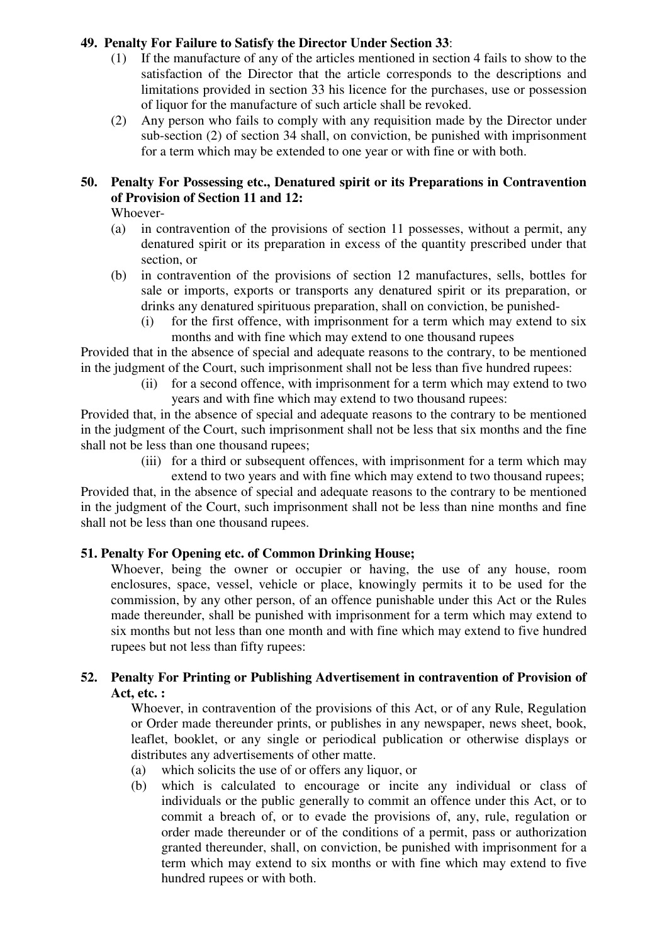## **49. Penalty For Failure to Satisfy the Director Under Section 33**:

- (1) If the manufacture of any of the articles mentioned in section 4 fails to show to the satisfaction of the Director that the article corresponds to the descriptions and limitations provided in section 33 his licence for the purchases, use or possession of liquor for the manufacture of such article shall be revoked.
- (2) Any person who fails to comply with any requisition made by the Director under sub-section (2) of section 34 shall, on conviction, be punished with imprisonment for a term which may be extended to one year or with fine or with both.

# **50. Penalty For Possessing etc., Denatured spirit or its Preparations in Contravention of Provision of Section 11 and 12:**

Whoever-

- (a) in contravention of the provisions of section 11 possesses, without a permit, any denatured spirit or its preparation in excess of the quantity prescribed under that section, or
- (b)in contravention of the provisions of section 12 manufactures, sells, bottles for sale or imports, exports or transports any denatured spirit or its preparation, or drinks any denatured spirituous preparation, shall on conviction, be punished-
	- (i) for the first offence, with imprisonment for a term which may extend to six months and with fine which may extend to one thousand rupees

Provided that in the absence of special and adequate reasons to the contrary, to be mentioned in the judgment of the Court, such imprisonment shall not be less than five hundred rupees:

(ii) for a second offence, with imprisonment for a term which may extend to two years and with fine which may extend to two thousand rupees:

Provided that, in the absence of special and adequate reasons to the contrary to be mentioned in the judgment of the Court, such imprisonment shall not be less that six months and the fine shall not be less than one thousand rupees;

(iii) for a third or subsequent offences, with imprisonment for a term which may

extend to two years and with fine which may extend to two thousand rupees; Provided that, in the absence of special and adequate reasons to the contrary to be mentioned in the judgment of the Court, such imprisonment shall not be less than nine months and fine shall not be less than one thousand rupees.

## **51. Penalty For Opening etc. of Common Drinking House;**

Whoever, being the owner or occupier or having, the use of any house, room enclosures, space, vessel, vehicle or place, knowingly permits it to be used for the commission, by any other person, of an offence punishable under this Act or the Rules made thereunder, shall be punished with imprisonment for a term which may extend to six months but not less than one month and with fine which may extend to five hundred rupees but not less than fifty rupees:

## **52. Penalty For Printing or Publishing Advertisement in contravention of Provision of Act, etc. :**

Whoever, in contravention of the provisions of this Act, or of any Rule, Regulation or Order made thereunder prints, or publishes in any newspaper, news sheet, book, leaflet, booklet, or any single or periodical publication or otherwise displays or distributes any advertisements of other matte.

- (a) which solicits the use of or offers any liquor, or
- (b) which is calculated to encourage or incite any individual or class of individuals or the public generally to commit an offence under this Act, or to commit a breach of, or to evade the provisions of, any, rule, regulation or order made thereunder or of the conditions of a permit, pass or authorization granted thereunder, shall, on conviction, be punished with imprisonment for a term which may extend to six months or with fine which may extend to five hundred rupees or with both.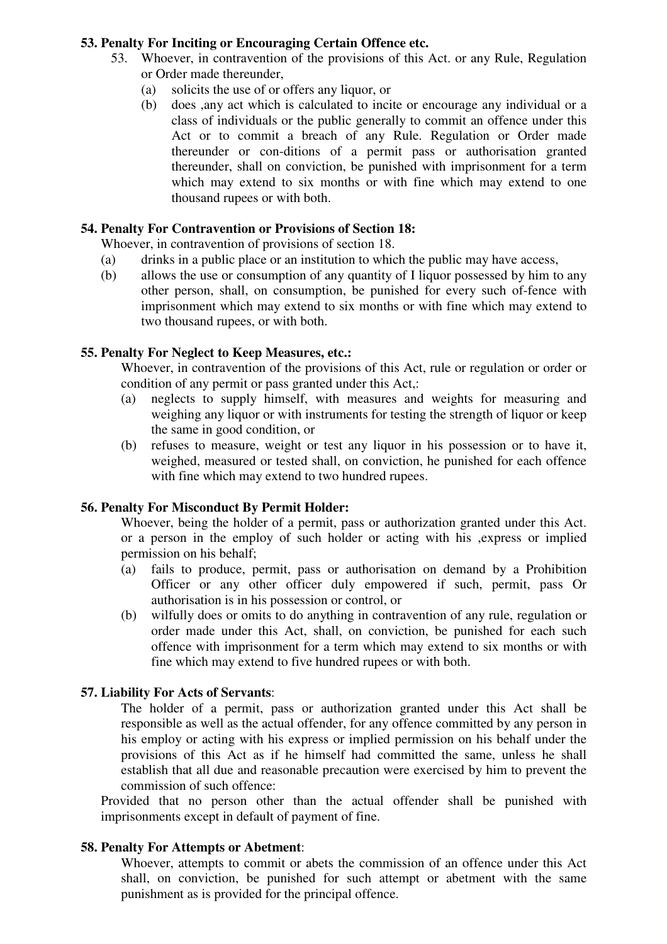### **53. Penalty For Inciting or Encouraging Certain Offence etc.**

- 53. Whoever, in contravention of the provisions of this Act. or any Rule, Regulation or Order made thereunder,
	- (a) solicits the use of or offers any liquor, or
	- (b) does ,any act which is calculated to incite or encourage any individual or a class of individuals or the public generally to commit an offence under this Act or to commit a breach of any Rule. Regulation or Order made thereunder or con-ditions of a permit pass or authorisation granted thereunder, shall on conviction, be punished with imprisonment for a term which may extend to six months or with fine which may extend to one thousand rupees or with both.

### **54. Penalty For Contravention or Provisions of Section 18:**

Whoever, in contravention of provisions of section 18.

- (a) drinks in a public place or an institution to which the public may have access,
- (b) allows the use or consumption of any quantity of I liquor possessed by him to any other person, shall, on consumption, be punished for every such of-fence with imprisonment which may extend to six months or with fine which may extend to two thousand rupees, or with both.

## **55. Penalty For Neglect to Keep Measures, etc.:**

Whoever, in contravention of the provisions of this Act, rule or regulation or order or condition of any permit or pass granted under this Act,:

- (a) neglects to supply himself, with measures and weights for measuring and weighing any liquor or with instruments for testing the strength of liquor or keep the same in good condition, or
- (b) refuses to measure, weight or test any liquor in his possession or to have it, weighed, measured or tested shall, on conviction, he punished for each offence with fine which may extend to two hundred rupees.

## **56. Penalty For Misconduct By Permit Holder:**

Whoever, being the holder of a permit, pass or authorization granted under this Act. or a person in the employ of such holder or acting with his ,express or implied permission on his behalf;

- (a) fails to produce, permit, pass or authorisation on demand by a Prohibition Officer or any other officer duly empowered if such, permit, pass Or authorisation is in his possession or control, or
- (b) wilfully does or omits to do anything in contravention of any rule, regulation or order made under this Act, shall, on conviction, be punished for each such offence with imprisonment for a term which may extend to six months or with fine which may extend to five hundred rupees or with both.

### **57. Liability For Acts of Servants**:

The holder of a permit, pass or authorization granted under this Act shall be responsible as well as the actual offender, for any offence committed by any person in his employ or acting with his express or implied permission on his behalf under the provisions of this Act as if he himself had committed the same, unless he shall establish that all due and reasonable precaution were exercised by him to prevent the commission of such offence:

Provided that no person other than the actual offender shall be punished with imprisonments except in default of payment of fine.

### **58. Penalty For Attempts or Abetment**:

Whoever, attempts to commit or abets the commission of an offence under this Act shall, on conviction, be punished for such attempt or abetment with the same punishment as is provided for the principal offence.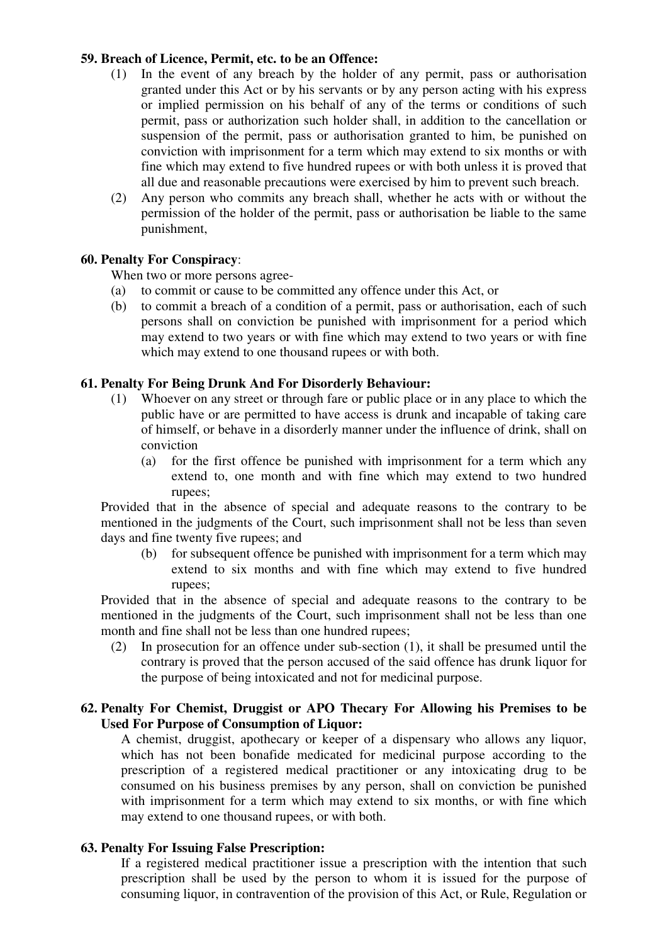### **59. Breach of Licence, Permit, etc. to be an Offence:**

- (1) In the event of any breach by the holder of any permit, pass or authorisation granted under this Act or by his servants or by any person acting with his express or implied permission on his behalf of any of the terms or conditions of such permit, pass or authorization such holder shall, in addition to the cancellation or suspension of the permit, pass or authorisation granted to him, be punished on conviction with imprisonment for a term which may extend to six months or with fine which may extend to five hundred rupees or with both unless it is proved that all due and reasonable precautions were exercised by him to prevent such breach.
- (2) Any person who commits any breach shall, whether he acts with or without the permission of the holder of the permit, pass or authorisation be liable to the same punishment,

### **60. Penalty For Conspiracy**:

When two or more persons agree-

- (a) to commit or cause to be committed any offence under this Act, or
- (b) to commit a breach of a condition of a permit, pass or authorisation, each of such persons shall on conviction be punished with imprisonment for a period which may extend to two years or with fine which may extend to two years or with fine which may extend to one thousand rupees or with both.

#### **61. Penalty For Being Drunk And For Disorderly Behaviour:**

- (1) Whoever on any street or through fare or public place or in any place to which the public have or are permitted to have access is drunk and incapable of taking care of himself, or behave in a disorderly manner under the influence of drink, shall on conviction
	- (a) for the first offence be punished with imprisonment for a term which any extend to, one month and with fine which may extend to two hundred rupees;

Provided that in the absence of special and adequate reasons to the contrary to be mentioned in the judgments of the Court, such imprisonment shall not be less than seven days and fine twenty five rupees; and

(b) for subsequent offence be punished with imprisonment for a term which may extend to six months and with fine which may extend to five hundred rupees;

Provided that in the absence of special and adequate reasons to the contrary to be mentioned in the judgments of the Court, such imprisonment shall not be less than one month and fine shall not be less than one hundred rupees;

(2) In prosecution for an offence under sub-section (1), it shall be presumed until the contrary is proved that the person accused of the said offence has drunk liquor for the purpose of being intoxicated and not for medicinal purpose.

### **62. Penalty For Chemist, Druggist or APO Thecary For Allowing his Premises to be Used For Purpose of Consumption of Liquor:**

A chemist, druggist, apothecary or keeper of a dispensary who allows any liquor, which has not been bonafide medicated for medicinal purpose according to the prescription of a registered medical practitioner or any intoxicating drug to be consumed on his business premises by any person, shall on conviction be punished with imprisonment for a term which may extend to six months, or with fine which may extend to one thousand rupees, or with both.

### **63. Penalty For Issuing False Prescription:**

If a registered medical practitioner issue a prescription with the intention that such prescription shall be used by the person to whom it is issued for the purpose of consuming liquor, in contravention of the provision of this Act, or Rule, Regulation or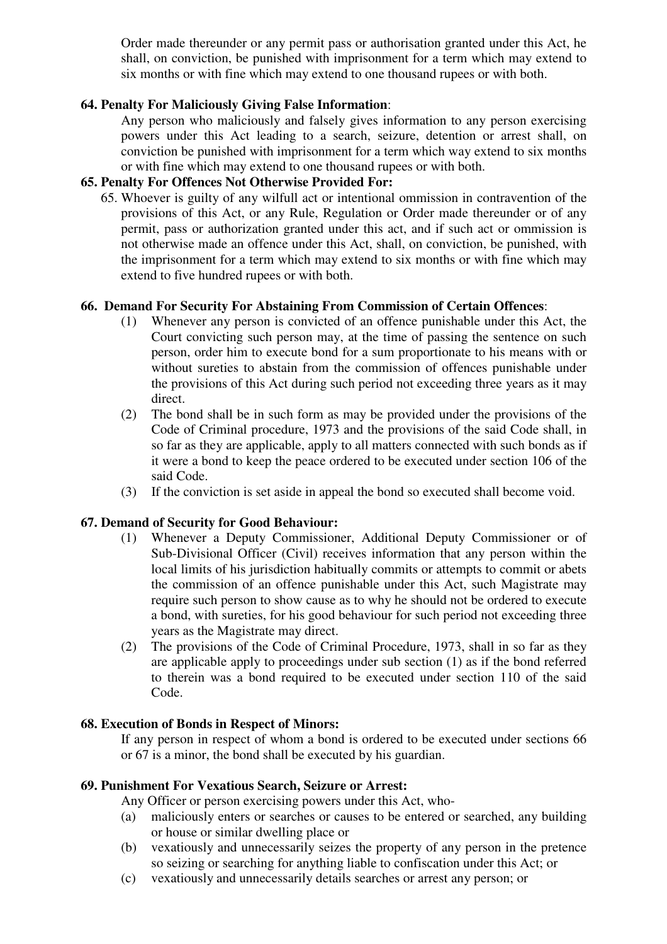Order made thereunder or any permit pass or authorisation granted under this Act, he shall, on conviction, be punished with imprisonment for a term which may extend to six months or with fine which may extend to one thousand rupees or with both.

### **64. Penalty For Maliciously Giving False Information**:

Any person who maliciously and falsely gives information to any person exercising powers under this Act leading to a search, seizure, detention or arrest shall, on conviction be punished with imprisonment for a term which way extend to six months or with fine which may extend to one thousand rupees or with both.

### **65. Penalty For Offences Not Otherwise Provided For:**

65. Whoever is guilty of any wilfull act or intentional ommission in contravention of the provisions of this Act, or any Rule, Regulation or Order made thereunder or of any permit, pass or authorization granted under this act, and if such act or ommission is not otherwise made an offence under this Act, shall, on conviction, be punished, with the imprisonment for a term which may extend to six months or with fine which may extend to five hundred rupees or with both.

### **66. Demand For Security For Abstaining From Commission of Certain Offences**:

- (1) Whenever any person is convicted of an offence punishable under this Act, the Court convicting such person may, at the time of passing the sentence on such person, order him to execute bond for a sum proportionate to his means with or without sureties to abstain from the commission of offences punishable under the provisions of this Act during such period not exceeding three years as it may direct.
- (2) The bond shall be in such form as may be provided under the provisions of the Code of Criminal procedure, 1973 and the provisions of the said Code shall, in so far as they are applicable, apply to all matters connected with such bonds as if it were a bond to keep the peace ordered to be executed under section 106 of the said Code.
- (3) If the conviction is set aside in appeal the bond so executed shall become void.

### **67. Demand of Security for Good Behaviour:**

- (1) Whenever a Deputy Commissioner, Additional Deputy Commissioner or of Sub-Divisional Officer (Civil) receives information that any person within the local limits of his jurisdiction habitually commits or attempts to commit or abets the commission of an offence punishable under this Act, such Magistrate may require such person to show cause as to why he should not be ordered to execute a bond, with sureties, for his good behaviour for such period not exceeding three years as the Magistrate may direct.
- (2) The provisions of the Code of Criminal Procedure, 1973, shall in so far as they are applicable apply to proceedings under sub section (1) as if the bond referred to therein was a bond required to be executed under section 110 of the said Code.

### **68. Execution of Bonds in Respect of Minors:**

If any person in respect of whom a bond is ordered to be executed under sections 66 or 67 is a minor, the bond shall be executed by his guardian.

### **69. Punishment For Vexatious Search, Seizure or Arrest:**

- Any Officer or person exercising powers under this Act, who-
- (a) maliciously enters or searches or causes to be entered or searched, any building or house or similar dwelling place or
- (b) vexatiously and unnecessarily seizes the property of any person in the pretence so seizing or searching for anything liable to confiscation under this Act; or
- (c) vexatiously and unnecessarily details searches or arrest any person; or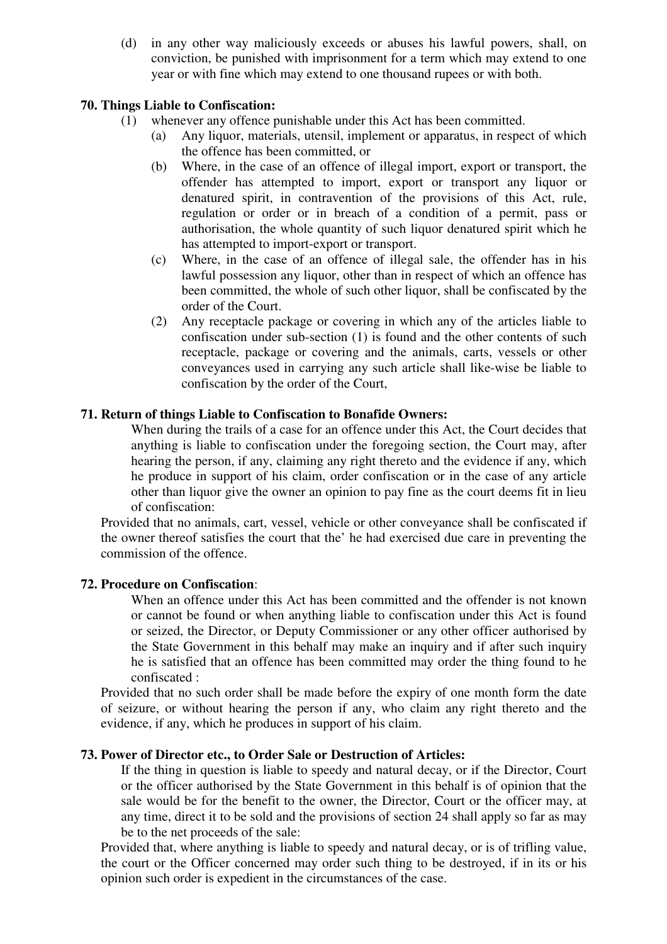(d) in any other way maliciously exceeds or abuses his lawful powers, shall, on conviction, be punished with imprisonment for a term which may extend to one year or with fine which may extend to one thousand rupees or with both.

### **70. Things Liable to Confiscation:**

- (1) whenever any offence punishable under this Act has been committed.
	- (a) Any liquor, materials, utensil, implement or apparatus, in respect of which the offence has been committed, or
	- (b) Where, in the case of an offence of illegal import, export or transport, the offender has attempted to import, export or transport any liquor or denatured spirit, in contravention of the provisions of this Act, rule, regulation or order or in breach of a condition of a permit, pass or authorisation, the whole quantity of such liquor denatured spirit which he has attempted to import-export or transport.
	- (c) Where, in the case of an offence of illegal sale, the offender has in his lawful possession any liquor, other than in respect of which an offence has been committed, the whole of such other liquor, shall be confiscated by the order of the Court.
	- (2) Any receptacle package or covering in which any of the articles liable to confiscation under sub-section (1) is found and the other contents of such receptacle, package or covering and the animals, carts, vessels or other conveyances used in carrying any such article shall like-wise be liable to confiscation by the order of the Court,

### **71. Return of things Liable to Confiscation to Bonafide Owners:**

When during the trails of a case for an offence under this Act, the Court decides that anything is liable to confiscation under the foregoing section, the Court may, after hearing the person, if any, claiming any right thereto and the evidence if any, which he produce in support of his claim, order confiscation or in the case of any article other than liquor give the owner an opinion to pay fine as the court deems fit in lieu of confiscation:

Provided that no animals, cart, vessel, vehicle or other conveyance shall be confiscated if the owner thereof satisfies the court that the' he had exercised due care in preventing the commission of the offence.

### **72. Procedure on Confiscation**:

When an offence under this Act has been committed and the offender is not known or cannot be found or when anything liable to confiscation under this Act is found or seized, the Director, or Deputy Commissioner or any other officer authorised by the State Government in this behalf may make an inquiry and if after such inquiry he is satisfied that an offence has been committed may order the thing found to he confiscated :

Provided that no such order shall be made before the expiry of one month form the date of seizure, or without hearing the person if any, who claim any right thereto and the evidence, if any, which he produces in support of his claim.

### **73. Power of Director etc., to Order Sale or Destruction of Articles:**

If the thing in question is liable to speedy and natural decay, or if the Director, Court or the officer authorised by the State Government in this behalf is of opinion that the sale would be for the benefit to the owner, the Director, Court or the officer may, at any time, direct it to be sold and the provisions of section 24 shall apply so far as may be to the net proceeds of the sale:

Provided that, where anything is liable to speedy and natural decay, or is of trifling value, the court or the Officer concerned may order such thing to be destroyed, if in its or his opinion such order is expedient in the circumstances of the case.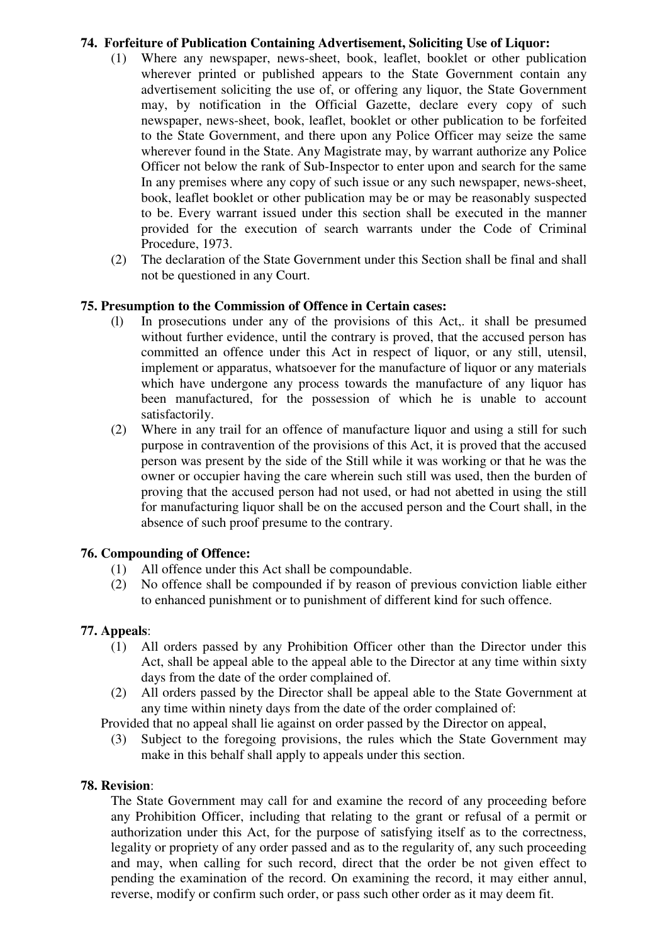### **74. Forfeiture of Publication Containing Advertisement, Soliciting Use of Liquor:**

- (1) Where any newspaper, news-sheet, book, leaflet, booklet or other publication wherever printed or published appears to the State Government contain any advertisement soliciting the use of, or offering any liquor, the State Government may, by notification in the Official Gazette, declare every copy of such newspaper, news-sheet, book, leaflet, booklet or other publication to be forfeited to the State Government, and there upon any Police Officer may seize the same wherever found in the State. Any Magistrate may, by warrant authorize any Police Officer not below the rank of Sub-Inspector to enter upon and search for the same In any premises where any copy of such issue or any such newspaper, news-sheet, book, leaflet booklet or other publication may be or may be reasonably suspected to be. Every warrant issued under this section shall be executed in the manner provided for the execution of search warrants under the Code of Criminal Procedure, 1973.
- (2) The declaration of the State Government under this Section shall be final and shall not be questioned in any Court.

### **75. Presumption to the Commission of Offence in Certain cases:**

- (l) In prosecutions under any of the provisions of this Act,. it shall be presumed without further evidence, until the contrary is proved, that the accused person has committed an offence under this Act in respect of liquor, or any still, utensil, implement or apparatus, whatsoever for the manufacture of liquor or any materials which have undergone any process towards the manufacture of any liquor has been manufactured, for the possession of which he is unable to account satisfactorily.
- (2) Where in any trail for an offence of manufacture liquor and using a still for such purpose in contravention of the provisions of this Act, it is proved that the accused person was present by the side of the Still while it was working or that he was the owner or occupier having the care wherein such still was used, then the burden of proving that the accused person had not used, or had not abetted in using the still for manufacturing liquor shall be on the accused person and the Court shall, in the absence of such proof presume to the contrary.

### **76. Compounding of Offence:**

- (1) All offence under this Act shall be compoundable.
- (2) No offence shall be compounded if by reason of previous conviction liable either to enhanced punishment or to punishment of different kind for such offence.

## **77. Appeals**:

- (1) All orders passed by any Prohibition Officer other than the Director under this Act, shall be appeal able to the appeal able to the Director at any time within sixty days from the date of the order complained of.
- (2) All orders passed by the Director shall be appeal able to the State Government at any time within ninety days from the date of the order complained of:

Provided that no appeal shall lie against on order passed by the Director on appeal,

(3) Subject to the foregoing provisions, the rules which the State Government may make in this behalf shall apply to appeals under this section.

### **78. Revision**:

The State Government may call for and examine the record of any proceeding before any Prohibition Officer, including that relating to the grant or refusal of a permit or authorization under this Act, for the purpose of satisfying itself as to the correctness, legality or propriety of any order passed and as to the regularity of, any such proceeding and may, when calling for such record, direct that the order be not given effect to pending the examination of the record. On examining the record, it may either annul, reverse, modify or confirm such order, or pass such other order as it may deem fit.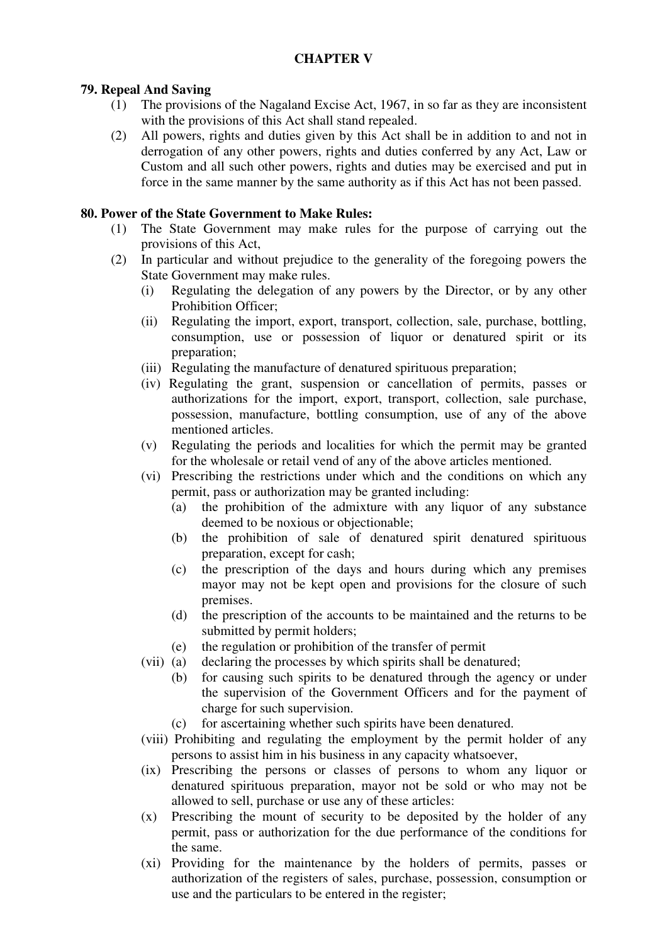## **CHAPTER V**

## **79. Repeal And Saving**

- (1) The provisions of the Nagaland Excise Act, 1967, in so far as they are inconsistent with the provisions of this Act shall stand repealed.
- (2) All powers, rights and duties given by this Act shall be in addition to and not in derrogation of any other powers, rights and duties conferred by any Act, Law or Custom and all such other powers, rights and duties may be exercised and put in force in the same manner by the same authority as if this Act has not been passed.

## **80. Power of the State Government to Make Rules:**

- (1) The State Government may make rules for the purpose of carrying out the provisions of this Act,
- (2) In particular and without prejudice to the generality of the foregoing powers the State Government may make rules.
	- (i) Regulating the delegation of any powers by the Director, or by any other Prohibition Officer;
	- (ii) Regulating the import, export, transport, collection, sale, purchase, bottling, consumption, use or possession of liquor or denatured spirit or its preparation;
	- (iii) Regulating the manufacture of denatured spirituous preparation;
	- (iv) Regulating the grant, suspension or cancellation of permits, passes or authorizations for the import, export, transport, collection, sale purchase, possession, manufacture, bottling consumption, use of any of the above mentioned articles.
	- (v) Regulating the periods and localities for which the permit may be granted for the wholesale or retail vend of any of the above articles mentioned.
	- (vi) Prescribing the restrictions under which and the conditions on which any permit, pass or authorization may be granted including:
		- (a) the prohibition of the admixture with any liquor of any substance deemed to be noxious or objectionable;
		- (b) the prohibition of sale of denatured spirit denatured spirituous preparation, except for cash;
		- (c) the prescription of the days and hours during which any premises mayor may not be kept open and provisions for the closure of such premises.
		- (d) the prescription of the accounts to be maintained and the returns to be submitted by permit holders;
		- (e) the regulation or prohibition of the transfer of permit
	- (vii) (a) declaring the processes by which spirits shall be denatured;
		- (b) for causing such spirits to be denatured through the agency or under the supervision of the Government Officers and for the payment of charge for such supervision.
		- (c) for ascertaining whether such spirits have been denatured.
	- (viii) Prohibiting and regulating the employment by the permit holder of any persons to assist him in his business in any capacity whatsoever,
	- (ix) Prescribing the persons or classes of persons to whom any liquor or denatured spirituous preparation, mayor not be sold or who may not be allowed to sell, purchase or use any of these articles:
	- (x) Prescribing the mount of security to be deposited by the holder of any permit, pass or authorization for the due performance of the conditions for the same.
	- (xi) Providing for the maintenance by the holders of permits, passes or authorization of the registers of sales, purchase, possession, consumption or use and the particulars to be entered in the register;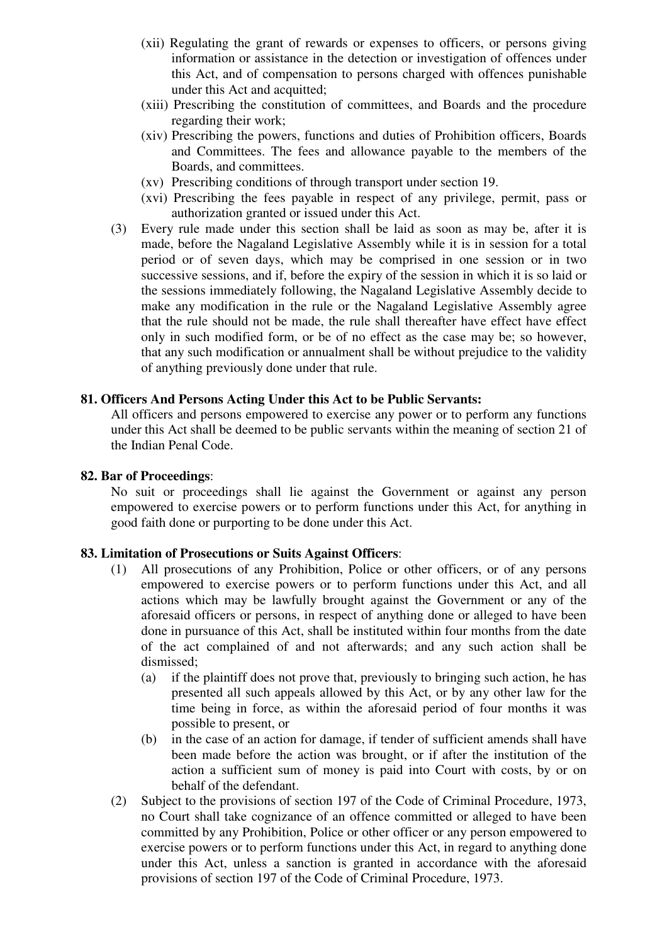- (xii) Regulating the grant of rewards or expenses to officers, or persons giving information or assistance in the detection or investigation of offences under this Act, and of compensation to persons charged with offences punishable under this Act and acquitted;
- (xiii) Prescribing the constitution of committees, and Boards and the procedure regarding their work;
- (xiv) Prescribing the powers, functions and duties of Prohibition officers, Boards and Committees. The fees and allowance payable to the members of the Boards, and committees.
- (xv) Prescribing conditions of through transport under section 19.
- (xvi) Prescribing the fees payable in respect of any privilege, permit, pass or authorization granted or issued under this Act.
- (3) Every rule made under this section shall be laid as soon as may be, after it is made, before the Nagaland Legislative Assembly while it is in session for a total period or of seven days, which may be comprised in one session or in two successive sessions, and if, before the expiry of the session in which it is so laid or the sessions immediately following, the Nagaland Legislative Assembly decide to make any modification in the rule or the Nagaland Legislative Assembly agree that the rule should not be made, the rule shall thereafter have effect have effect only in such modified form, or be of no effect as the case may be; so however, that any such modification or annualment shall be without prejudice to the validity of anything previously done under that rule.

### **81. Officers And Persons Acting Under this Act to be Public Servants:**

All officers and persons empowered to exercise any power or to perform any functions under this Act shall be deemed to be public servants within the meaning of section 21 of the Indian Penal Code.

#### **82. Bar of Proceedings**:

No suit or proceedings shall lie against the Government or against any person empowered to exercise powers or to perform functions under this Act, for anything in good faith done or purporting to be done under this Act.

### **83. Limitation of Prosecutions or Suits Against Officers**:

- (1) All prosecutions of any Prohibition, Police or other officers, or of any persons empowered to exercise powers or to perform functions under this Act, and all actions which may be lawfully brought against the Government or any of the aforesaid officers or persons, in respect of anything done or alleged to have been done in pursuance of this Act, shall be instituted within four months from the date of the act complained of and not afterwards; and any such action shall be dismissed;
	- (a) if the plaintiff does not prove that, previously to bringing such action, he has presented all such appeals allowed by this Act, or by any other law for the time being in force, as within the aforesaid period of four months it was possible to present, or
	- (b) in the case of an action for damage, if tender of sufficient amends shall have been made before the action was brought, or if after the institution of the action a sufficient sum of money is paid into Court with costs, by or on behalf of the defendant.
- (2) Subject to the provisions of section 197 of the Code of Criminal Procedure, 1973, no Court shall take cognizance of an offence committed or alleged to have been committed by any Prohibition, Police or other officer or any person empowered to exercise powers or to perform functions under this Act, in regard to anything done under this Act, unless a sanction is granted in accordance with the aforesaid provisions of section 197 of the Code of Criminal Procedure, 1973.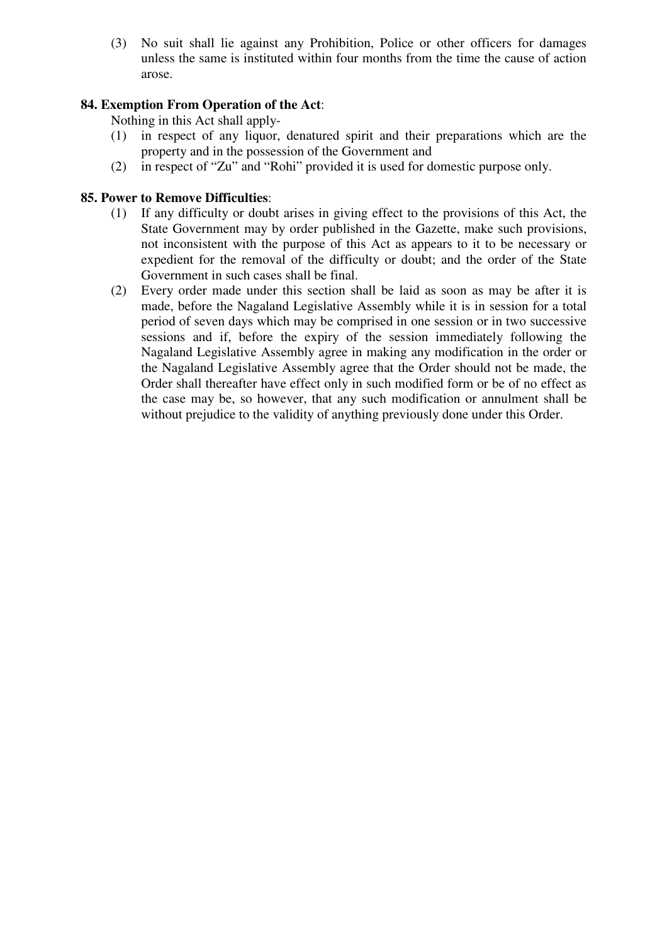(3) No suit shall lie against any Prohibition, Police or other officers for damages unless the same is instituted within four months from the time the cause of action arose.

## **84. Exemption From Operation of the Act**:

Nothing in this Act shall apply-

- (1) in respect of any liquor, denatured spirit and their preparations which are the property and in the possession of the Government and
- (2) in respect of "Zu" and "Rohi" provided it is used for domestic purpose only.

### **85. Power to Remove Difficulties**:

- (1) If any difficulty or doubt arises in giving effect to the provisions of this Act, the State Government may by order published in the Gazette, make such provisions, not inconsistent with the purpose of this Act as appears to it to be necessary or expedient for the removal of the difficulty or doubt; and the order of the State Government in such cases shall be final.
- (2) Every order made under this section shall be laid as soon as may be after it is made, before the Nagaland Legislative Assembly while it is in session for a total period of seven days which may be comprised in one session or in two successive sessions and if, before the expiry of the session immediately following the Nagaland Legislative Assembly agree in making any modification in the order or the Nagaland Legislative Assembly agree that the Order should not be made, the Order shall thereafter have effect only in such modified form or be of no effect as the case may be, so however, that any such modification or annulment shall be without prejudice to the validity of anything previously done under this Order.